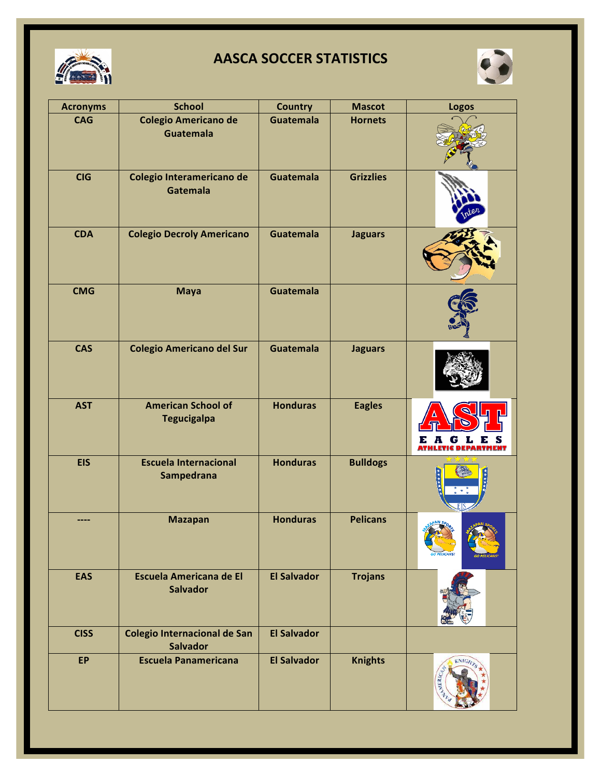



| <b>Acronyms</b> | <b>School</b>                                     | <b>Country</b>     | <b>Mascot</b>    | <b>Logos</b>           |
|-----------------|---------------------------------------------------|--------------------|------------------|------------------------|
| <b>CAG</b>      | <b>Colegio Americano de</b><br><b>Guatemala</b>   | <b>Guatemala</b>   | <b>Hornets</b>   |                        |
| <b>CIG</b>      | Colegio Interamericano de<br><b>Gatemala</b>      | <b>Guatemala</b>   | <b>Grizzlies</b> |                        |
| <b>CDA</b>      | <b>Colegio Decroly Americano</b>                  | <b>Guatemala</b>   | <b>Jaguars</b>   |                        |
| <b>CMG</b>      | <b>Maya</b>                                       | <b>Guatemala</b>   |                  |                        |
| <b>CAS</b>      | <b>Colegio Americano del Sur</b>                  | <b>Guatemala</b>   | <b>Jaguars</b>   |                        |
| <b>AST</b>      | <b>American School of</b><br><b>Tegucigalpa</b>   | <b>Honduras</b>    | <b>Eagles</b>    | <b>GLE</b><br>E A      |
| <b>EIS</b>      | <b>Escuela Internacional</b><br><b>Sampedrana</b> | <b>Honduras</b>    | <b>Bulldogs</b>  |                        |
|                 | <b>Mazapan</b>                                    | <b>Honduras</b>    | <b>Pelicans</b>  | O PELICANS             |
| <b>EAS</b>      | <b>Escuela Americana de El</b><br><b>Salvador</b> | <b>El Salvador</b> | <b>Trojans</b>   |                        |
| <b>CISS</b>     | Colegio Internacional de San<br><b>Salvador</b>   | <b>El Salvador</b> |                  |                        |
| <b>EP</b>       | <b>Escuela Panamericana</b>                       | <b>El Salvador</b> | <b>Knights</b>   | <b>KNIGH2</b><br>MERIC |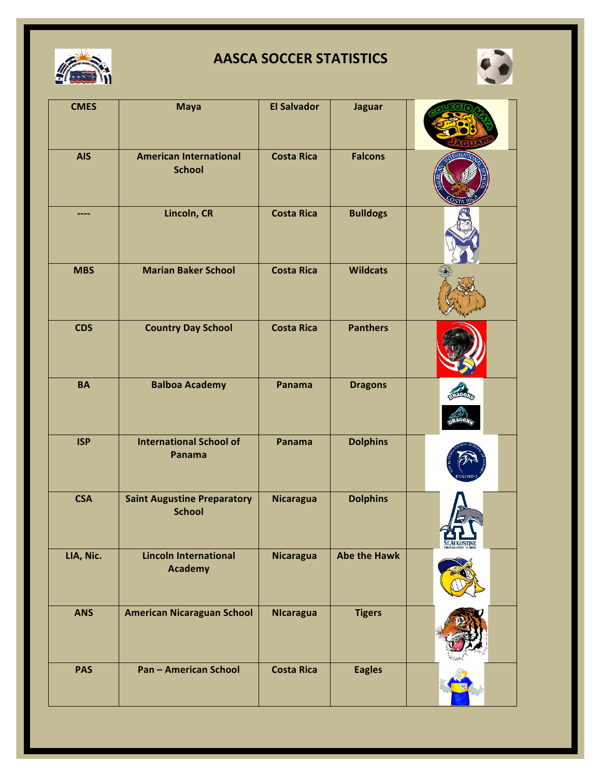



| <b>CMES</b> | <b>Maya</b>                                         | <b>El Salvador</b> | <b>Jaguar</b>       |                      |
|-------------|-----------------------------------------------------|--------------------|---------------------|----------------------|
| <b>AIS</b>  | <b>American International</b><br><b>School</b>      | <b>Costa Rica</b>  | <b>Falcons</b>      |                      |
| ----        | Lincoln, CR                                         | <b>Costa Rica</b>  | <b>Bulldogs</b>     |                      |
| <b>MBS</b>  | <b>Marian Baker School</b>                          | <b>Costa Rica</b>  | <b>Wildcats</b>     |                      |
| <b>CDS</b>  | <b>Country Day School</b>                           | <b>Costa Rica</b>  | <b>Panthers</b>     |                      |
| <b>BA</b>   | <b>Balboa Academy</b>                               | Panama             | <b>Dragons</b>      |                      |
| <b>ISP</b>  | <b>International School of</b><br>Panama            | Panama             | <b>Dolphins</b>     |                      |
| <b>CSA</b>  | <b>Saint Augustine Preparatory</b><br><b>School</b> | <b>Nicaragua</b>   | <b>Dolphins</b>     | <b>ST. AUGUSTINE</b> |
| LIA, Nic.   | <b>Lincoln International</b><br><b>Academy</b>      | <b>Nicaragua</b>   | <b>Abe the Hawk</b> |                      |
| <b>ANS</b>  | <b>American Nicaraguan School</b>                   | <b>NIcaragua</b>   | <b>Tigers</b>       |                      |
| <b>PAS</b>  | <b>Pan - American School</b>                        | <b>Costa Rica</b>  | <b>Eagles</b>       |                      |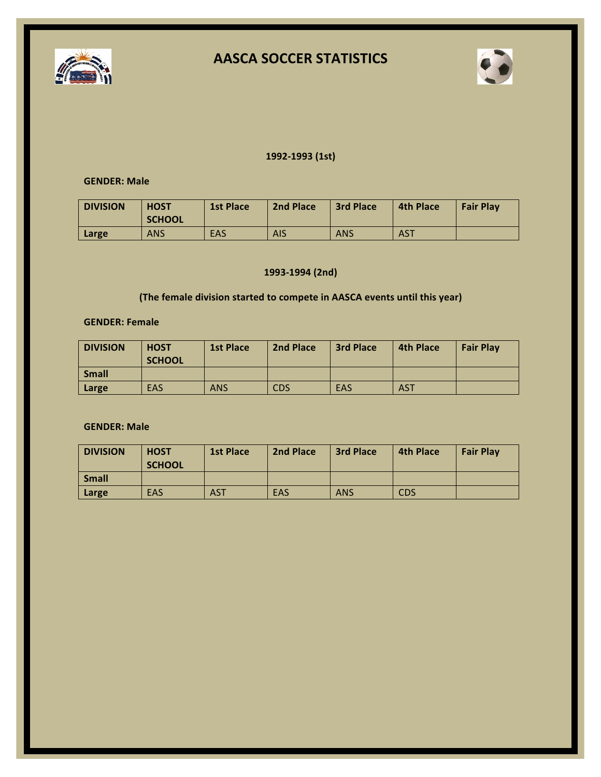



### **1992-1993 (1st)**

### **GENDER: Male**

| <b>DIVISION</b> | <b>HOST</b><br><b>SCHOOL</b> | <b>1st Place</b> | <b>2nd Place</b> | <b>3rd Place</b> | <b>4th Place</b> | <b>Fair Play</b> |
|-----------------|------------------------------|------------------|------------------|------------------|------------------|------------------|
| Large           | <b>ANS</b>                   | EAS              | AIS              | <b>ANS</b>       | <b>AST</b>       |                  |

#### **1993-1994 (2nd)**

### **(The female division started to compete in AASCA events until this year)**

### **GENDER: Female**

| <b>DIVISION</b> | <b>HOST</b><br><b>SCHOOL</b> | <b>1st Place</b> | 2nd Place  | <b>3rd Place</b> | <b>4th Place</b> | <b>Fair Play</b> |
|-----------------|------------------------------|------------------|------------|------------------|------------------|------------------|
| <b>Small</b>    |                              |                  |            |                  |                  |                  |
| Large           | EAS                          | <b>ANS</b>       | <b>CDS</b> | <b>EAS</b>       | <b>AST</b>       |                  |

| <b>DIVISION</b> | <b>HOST</b><br><b>SCHOOL</b> | <b>1st Place</b> | 2nd Place  | <b>3rd Place</b> | <b>4th Place</b> | <b>Fair Play</b> |
|-----------------|------------------------------|------------------|------------|------------------|------------------|------------------|
| <b>Small</b>    |                              |                  |            |                  |                  |                  |
| Large           | <b>EAS</b>                   | <b>AST</b>       | <b>EAS</b> | <b>ANS</b>       | <b>CDS</b>       |                  |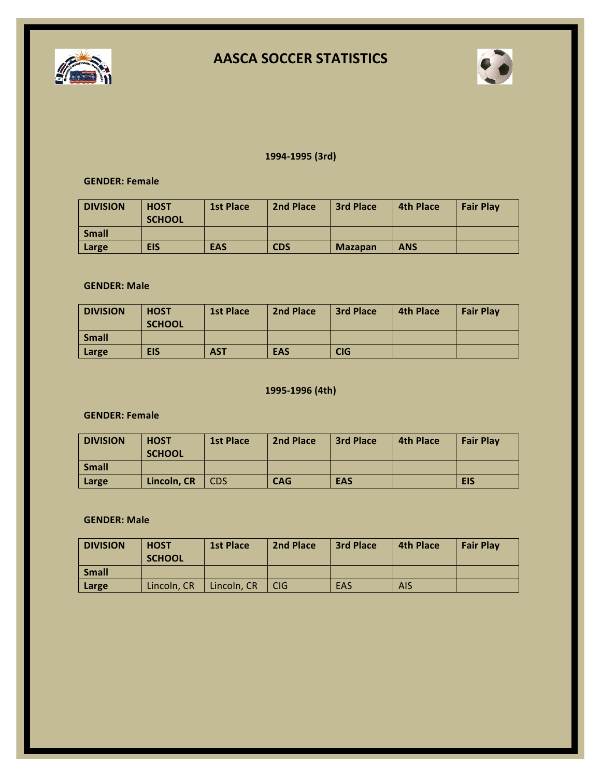



### **1994-1995 (3rd)**

### **GENDER: Female**

| <b>DIVISION</b> | <b>HOST</b><br><b>SCHOOL</b> | <b>1st Place</b> | <b>2nd Place</b> | <b>3rd Place</b> | <b>4th Place</b> | <b>Fair Play</b> |
|-----------------|------------------------------|------------------|------------------|------------------|------------------|------------------|
| <b>Small</b>    |                              |                  |                  |                  |                  |                  |
| Large           | <b>EIS</b>                   | <b>EAS</b>       | <b>CDS</b>       | <b>Mazapan</b>   | <b>ANS</b>       |                  |

#### **GENDER: Male**

| <b>DIVISION</b> | <b>HOST</b><br><b>SCHOOL</b> | <b>1st Place</b> | 2nd Place  | <b>3rd Place</b> | 4th Place | <b>Fair Play</b> |
|-----------------|------------------------------|------------------|------------|------------------|-----------|------------------|
| <b>Small</b>    |                              |                  |            |                  |           |                  |
| Large           | <b>EIS</b>                   | <b>AST</b>       | <b>EAS</b> | <b>CIG</b>       |           |                  |

### **1995-1996** (4th)

#### **GENDER: Female**

| <b>DIVISION</b> | <b>HOST</b><br><b>SCHOOL</b> | <b>1st Place</b> | 2nd Place  | <b>3rd Place</b> | <b>4th Place</b> | <b>Fair Play</b> |
|-----------------|------------------------------|------------------|------------|------------------|------------------|------------------|
| <b>Small</b>    |                              |                  |            |                  |                  |                  |
| Large           | Lincoln, CR                  | <b>CDS</b>       | <b>CAG</b> | <b>EAS</b>       |                  | <b>EIS</b>       |

| <b>DIVISION</b> | <b>HOST</b><br><b>SCHOOL</b> | <b>1st Place</b> | <b>2nd Place</b> | <b>3rd Place</b> | <b>4th Place</b> | <b>Fair Play</b> |
|-----------------|------------------------------|------------------|------------------|------------------|------------------|------------------|
| <b>Small</b>    |                              |                  |                  |                  |                  |                  |
| Large           | Lincoln, CR                  | Lincoln, CR      | <b>CIG</b>       | EAS              | <b>AIS</b>       |                  |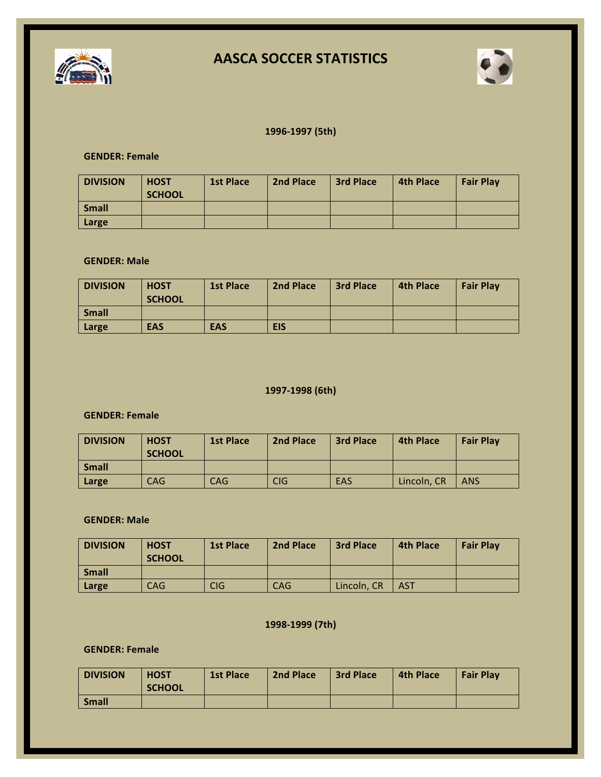



### **1996-1997 (5th)**

### **GENDER: Female**

| <b>DIVISION</b> | <b>HOST</b><br><b>SCHOOL</b> | <b>1st Place</b> | 2nd Place | <b>3rd Place</b> | <b>4th Place</b> | <b>Fair Play</b> |
|-----------------|------------------------------|------------------|-----------|------------------|------------------|------------------|
| <b>Small</b>    |                              |                  |           |                  |                  |                  |
| Large           |                              |                  |           |                  |                  |                  |

### **GENDER: Male**

| <b>DIVISION</b> | <b>HOST</b><br><b>SCHOOL</b> | <b>1st Place</b> | 2nd Place  | <b>3rd Place</b> | <b>4th Place</b> | <b>Fair Play</b> |
|-----------------|------------------------------|------------------|------------|------------------|------------------|------------------|
| <b>Small</b>    |                              |                  |            |                  |                  |                  |
| Large           | <b>EAS</b>                   | <b>EAS</b>       | <b>EIS</b> |                  |                  |                  |

### **1997-1998 (6th)**

### **GENDER: Female**

| <b>DIVISION</b> | <b>HOST</b><br><b>SCHOOL</b> | <b>1st Place</b> | 2nd Place | <b>3rd Place</b> | <b>4th Place</b> | <b>Fair Play</b> |
|-----------------|------------------------------|------------------|-----------|------------------|------------------|------------------|
| <b>Small</b>    |                              |                  |           |                  |                  |                  |
| Large           | <b>CAG</b>                   | <b>CAG</b>       | CIG       | EAS              | Lincoln, CR      | <b>ANS</b>       |

### **GENDER: Male**

| <b>DIVISION</b> | <b>HOST</b><br><b>SCHOOL</b> | <b>1st Place</b> | <b>2nd Place</b> | <b>3rd Place</b> | <b>4th Place</b> | <b>Fair Play</b> |
|-----------------|------------------------------|------------------|------------------|------------------|------------------|------------------|
| <b>Small</b>    |                              |                  |                  |                  |                  |                  |
| Large           | <b>CAG</b>                   | CIG              | CAG              | Lincoln, CR      | <b>AST</b>       |                  |

### **1998-1999 (7th)**

| <b>DIVISION</b> | <b>HOST</b><br><b>SCHOOL</b> | <b>1st Place</b> | <b>2nd Place</b> | 3rd Place | 4th Place | <b>Fair Play</b> |
|-----------------|------------------------------|------------------|------------------|-----------|-----------|------------------|
| Small           |                              |                  |                  |           |           |                  |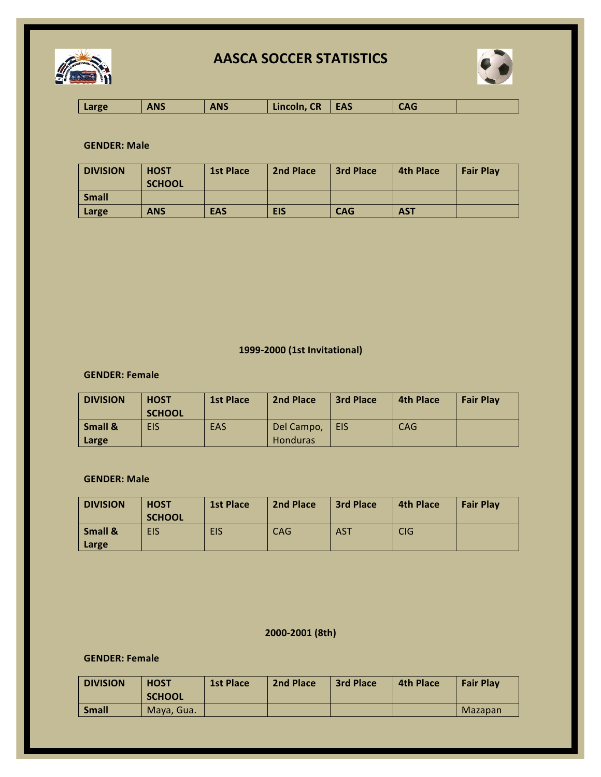



|  | Large | <b>ANS</b> | <b>ANS</b> | Lincoln, CR | EAS | <b>CAG</b> |  |
|--|-------|------------|------------|-------------|-----|------------|--|
|--|-------|------------|------------|-------------|-----|------------|--|

### **GENDER: Male**

| <b>DIVISION</b> | <b>HOST</b><br><b>SCHOOL</b> | <b>1st Place</b> | 2nd Place  | <b>3rd Place</b> | 4th Place  | <b>Fair Play</b> |
|-----------------|------------------------------|------------------|------------|------------------|------------|------------------|
| <b>Small</b>    |                              |                  |            |                  |            |                  |
| Large           | <b>ANS</b>                   | <b>EAS</b>       | <b>EIS</b> | <b>CAG</b>       | <b>AST</b> |                  |

### **1999-2000 (1st Invitational)**

### **GENDER: Female**

| <b>DIVISION</b> | <b>HOST</b><br><b>SCHOOL</b> | <b>1st Place</b> | <b>2nd Place</b> | <b>3rd Place</b> | <b>4th Place</b> | <b>Fair Play</b> |
|-----------------|------------------------------|------------------|------------------|------------------|------------------|------------------|
| Small &         | <b>EIS</b>                   | EAS              | Del Campo,       | EIS              | CAG              |                  |
| Large           |                              |                  | <b>Honduras</b>  |                  |                  |                  |

#### **GENDER: Male**

| <b>DIVISION</b>  | <b>HOST</b><br><b>SCHOOL</b> | <b>1st Place</b> | 2nd Place  | <b>3rd Place</b> | <b>4th Place</b> | <b>Fair Play</b> |
|------------------|------------------------------|------------------|------------|------------------|------------------|------------------|
| Small &<br>Large | EIS                          | <b>EIS</b>       | <b>CAG</b> | <b>AST</b>       | <b>CIG</b>       |                  |

### **2000-2001 (8th)**

| <b>DIVISION</b> | <b>HOST</b><br><b>SCHOOL</b> | <b>1st Place</b> | <b>2nd Place</b> | <b>3rd Place</b> | <b>4th Place</b> | <b>Fair Play</b> |
|-----------------|------------------------------|------------------|------------------|------------------|------------------|------------------|
| <b>Small</b>    | Maya, Gua.                   |                  |                  |                  |                  | Mazapan          |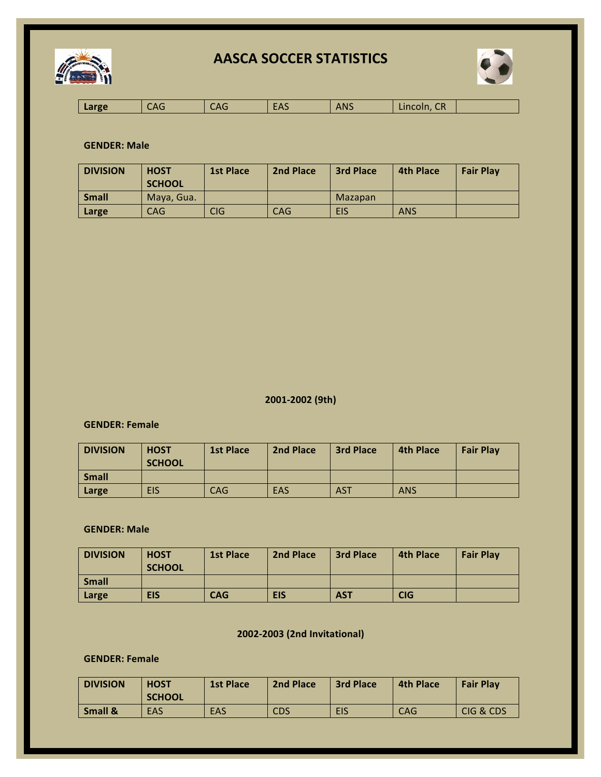



| <b>CR</b><br>EAS<br><b>ANS</b><br>CAG<br>CAG<br><b>Large</b><br>Lincoln, |
|--------------------------------------------------------------------------|
|--------------------------------------------------------------------------|

### **GENDER: Male**

| <b>DIVISION</b> | <b>HOST</b><br><b>SCHOOL</b> | <b>1st Place</b> | 2nd Place | <b>3rd Place</b> | <b>4th Place</b> | <b>Fair Play</b> |
|-----------------|------------------------------|------------------|-----------|------------------|------------------|------------------|
| <b>Small</b>    | Maya, Gua.                   |                  |           | Mazapan          |                  |                  |
| Large           | CAG                          | CIG              | CAG       | <b>EIS</b>       | <b>ANS</b>       |                  |

### **2001-2002 (9th)**

### **GENDER: Female**

| <b>DIVISION</b> | <b>HOST</b><br><b>SCHOOL</b> | <b>1st Place</b> | 2nd Place  | <b>3rd Place</b> | <b>4th Place</b> | <b>Fair Play</b> |
|-----------------|------------------------------|------------------|------------|------------------|------------------|------------------|
| <b>Small</b>    |                              |                  |            |                  |                  |                  |
| Large           | <b>EIS</b>                   | <b>CAG</b>       | <b>EAS</b> | <b>AST</b>       | <b>ANS</b>       |                  |

### **GENDER: Male**

| <b>DIVISION</b> | <b>HOST</b><br><b>SCHOOL</b> | <b>1st Place</b> | 2nd Place  | <b>3rd Place</b> | 4th Place  | <b>Fair Play</b> |
|-----------------|------------------------------|------------------|------------|------------------|------------|------------------|
| <b>Small</b>    |                              |                  |            |                  |            |                  |
| Large           | <b>EIS</b>                   | <b>CAG</b>       | <b>EIS</b> | <b>AST</b>       | <b>CIG</b> |                  |

### **2002-2003 (2nd Invitational)**

| <b>DIVISION</b> | <b>HOST</b><br><b>SCHOOL</b> | <b>1st Place</b> | <b>2nd Place</b> | <b>3rd Place</b> | 4th Place | <b>Fair Play</b>     |
|-----------------|------------------------------|------------------|------------------|------------------|-----------|----------------------|
| Small &         | EAS                          | EAS              | <b>CDS</b>       | <b>EIS</b>       | CAG       | <b>CIG &amp; CDS</b> |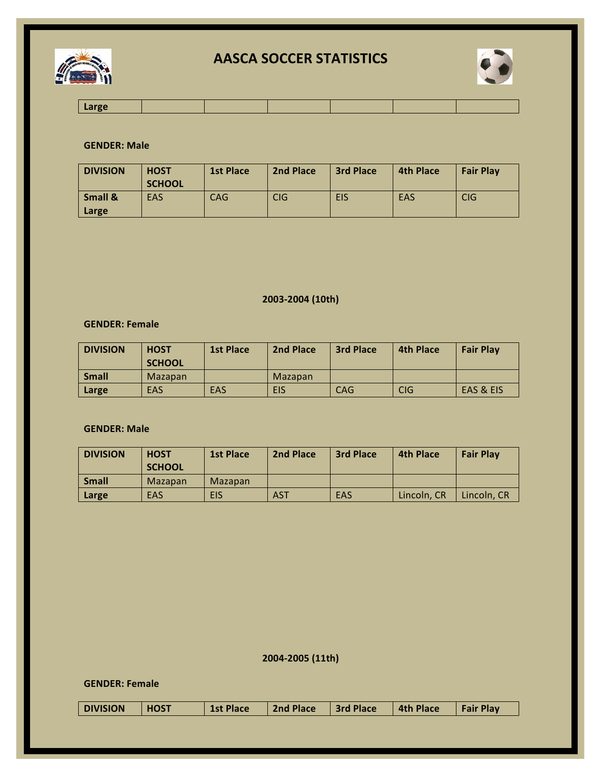



### **GENDER: Male**

| <b>DIVISION</b>  | <b>HOST</b><br><b>SCHOOL</b> | <b>1st Place</b> | 2nd Place | <b>3rd Place</b> | 4th Place | <b>Fair Play</b> |
|------------------|------------------------------|------------------|-----------|------------------|-----------|------------------|
| Small &<br>Large | EAS                          | <b>CAG</b>       | CIG       | <b>EIS</b>       | EAS       | <b>CIG</b>       |

### **2003-2004 (10th)**

#### **GENDER: Female**

| <b>DIVISION</b> | <b>HOST</b><br><b>SCHOOL</b> | <b>1st Place</b> | 2nd Place | <b>3rd Place</b> | <b>4th Place</b> | <b>Fair Play</b> |
|-----------------|------------------------------|------------------|-----------|------------------|------------------|------------------|
| <b>Small</b>    | Mazapan                      |                  | Mazapan   |                  |                  |                  |
| Large           | EAS                          | EAS              | EIS       | CAG              | CIG              | EAS & EIS        |

### **GENDER: Male**

| <b>DIVISION</b> | <b>HOST</b><br><b>SCHOOL</b> | 1st Place      | 2nd Place       | <b>3rd Place</b> | <b>4th Place</b> | <b>Fair Play</b> |
|-----------------|------------------------------|----------------|-----------------|------------------|------------------|------------------|
| <b>Small</b>    | Mazapan                      | <b>Mazapan</b> |                 |                  |                  |                  |
| Large           | EAS                          | <b>EIS</b>     | AS <sub>1</sub> | EAS              | Lincoln. CR      | Lincoln, CR      |

### **2004-2005 (11th)**

| <b>DIVISION</b> | <b>HOST</b> | <b>1st Place</b> | 2nd Place | 3rd Place | 4th Place | <b>Fair Play</b> |
|-----------------|-------------|------------------|-----------|-----------|-----------|------------------|
|                 |             |                  |           |           |           |                  |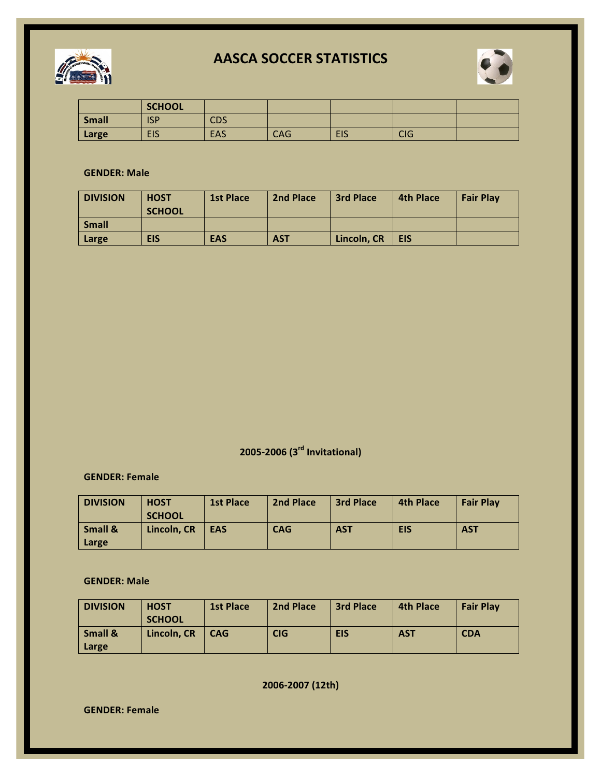



|              | <b>SCHOOL</b> |            |     |            |            |  |
|--------------|---------------|------------|-----|------------|------------|--|
| <b>Small</b> | <b>ISP</b>    | <b>CDS</b> |     |            |            |  |
| Large        | <b>EIS</b>    | <b>EAS</b> | CAG | <b>EIS</b> | <b>CIG</b> |  |

### **GENDER: Male**

| <b>DIVISION</b> | <b>HOST</b><br><b>SCHOOL</b> | <b>1st Place</b> | <b>2nd Place</b> | <b>3rd Place</b> | <b>4th Place</b> | <b>Fair Play</b> |
|-----------------|------------------------------|------------------|------------------|------------------|------------------|------------------|
| <b>Small</b>    |                              |                  |                  |                  |                  |                  |
| Large           | <b>EIS</b>                   | <b>EAS</b>       | <b>AST</b>       | Lincoln, CR      | <b>EIS</b>       |                  |

# **2005-2006 (3rd Invitational)**

#### **GENDER: Female**

| <b>DIVISION</b>  | <b>HOST</b><br><b>SCHOOL</b> | <b>1st Place</b> | 2nd Place  | <b>3rd Place</b> | <b>4th Place</b> | <b>Fair Play</b> |
|------------------|------------------------------|------------------|------------|------------------|------------------|------------------|
| Small &<br>Large | Lincoln, CR                  | <b>EAS</b>       | <b>CAG</b> | <b>AST</b>       | <b>EIS</b>       | <b>AST</b>       |

### **GENDER: Male**

| <b>DIVISION</b>  | <b>HOST</b><br><b>SCHOOL</b> | <b>1st Place</b> | 2nd Place  | <b>3rd Place</b> | <b>4th Place</b> | <b>Fair Play</b> |
|------------------|------------------------------|------------------|------------|------------------|------------------|------------------|
| Small &<br>Large | Lincoln, CR                  | <b>CAG</b>       | <b>CIG</b> | <b>EIS</b>       | <b>AST</b>       | <b>CDA</b>       |

**2006-2007 (12th)**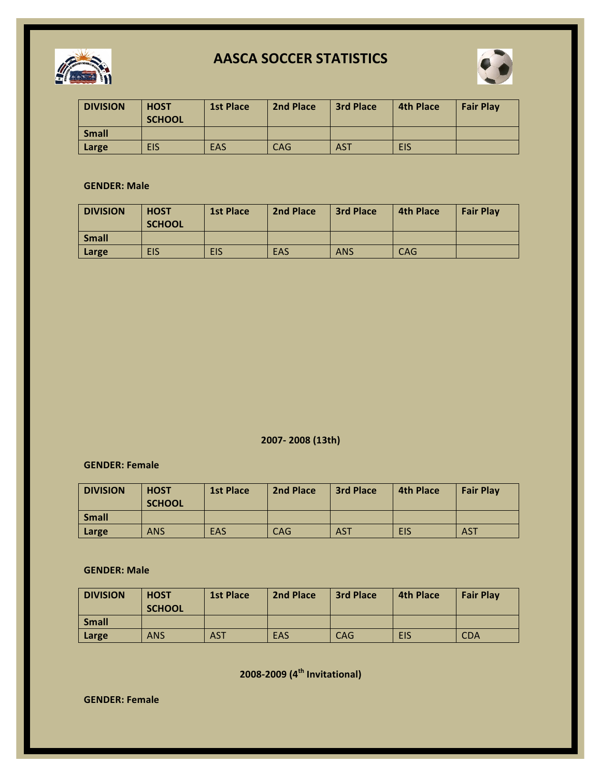



| <b>DIVISION</b> | <b>HOST</b><br><b>SCHOOL</b> | <b>1st Place</b> | 2nd Place | <b>3rd Place</b> | <b>4th Place</b> | <b>Fair Play</b> |
|-----------------|------------------------------|------------------|-----------|------------------|------------------|------------------|
| <b>Small</b>    |                              |                  |           |                  |                  |                  |
| Large           | <b>EIS</b>                   | EAS              | CAG       | <b>AST</b>       | <b>EIS</b>       |                  |

### **GENDER: Male**

| <b>DIVISION</b> | <b>HOST</b><br><b>SCHOOL</b> | <b>1st Place</b> | 2nd Place | <b>3rd Place</b> | 4th Place  | <b>Fair Play</b> |
|-----------------|------------------------------|------------------|-----------|------------------|------------|------------------|
| <b>Small</b>    |                              |                  |           |                  |            |                  |
| Large           | <b>EIS</b>                   | <b>EIS</b>       | EAS       | <b>ANS</b>       | <b>CAG</b> |                  |

### **2007- 2008 (13th)**

### **GENDER: Female**

| <b>DIVISION</b> | <b>HOST</b><br><b>SCHOOL</b> | <b>1st Place</b> | 2nd Place | <b>3rd Place</b> | 4th Place  | <b>Fair Play</b> |
|-----------------|------------------------------|------------------|-----------|------------------|------------|------------------|
| <b>Small</b>    |                              |                  |           |                  |            |                  |
| Large           | <b>ANS</b>                   | <b>EAS</b>       | CAG       | <b>AST</b>       | <b>EIS</b> | <b>AST</b>       |

### **GENDER: Male**

| <b>DIVISION</b> | <b>HOST</b><br><b>SCHOOL</b> | <b>1st Place</b> | 2nd Place | <b>3rd Place</b> | <b>4th Place</b> | <b>Fair Play</b> |
|-----------------|------------------------------|------------------|-----------|------------------|------------------|------------------|
| <b>Small</b>    |                              |                  |           |                  |                  |                  |
| Large           | <b>ANS</b>                   | <b>AST</b>       | EAS       | CAG              | <b>EIS</b>       | <b>CDA</b>       |

**2008-2009 (4th Invitational)**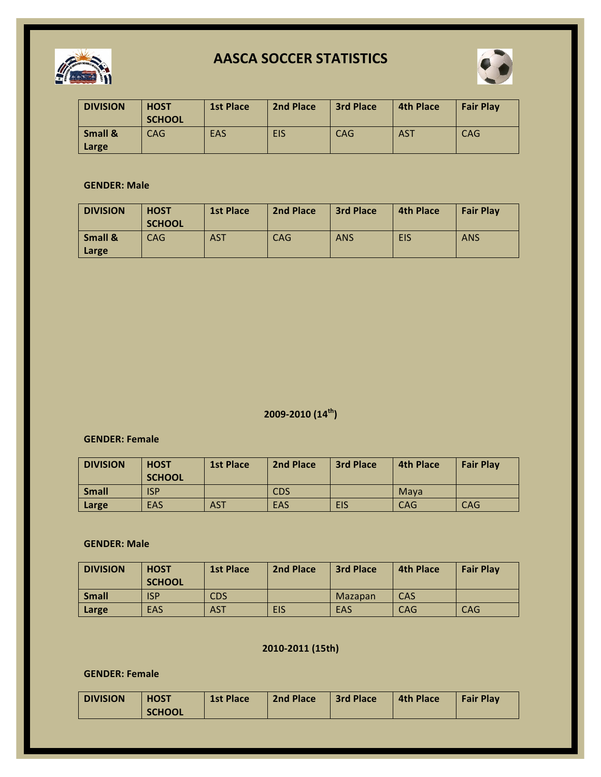



| <b>DIVISION</b>             | <b>HOST</b><br><b>SCHOOL</b> | <b>1st Place</b> | 2nd Place  | <b>3rd Place</b> | <b>4th Place</b> | <b>Fair Play</b> |
|-----------------------------|------------------------------|------------------|------------|------------------|------------------|------------------|
| <b>Small &amp;</b><br>Large | CAG                          | <b>EAS</b>       | <b>EIS</b> | <b>CAG</b>       | <b>AST</b>       | <b>CAG</b>       |

### **GENDER: Male**

| <b>DIVISION</b>  | <b>HOST</b><br><b>SCHOOL</b> | <b>1st Place</b> | 2nd Place  | <b>3rd Place</b> | <b>4th Place</b> | <b>Fair Play</b> |
|------------------|------------------------------|------------------|------------|------------------|------------------|------------------|
| Small &<br>Large | <b>CAG</b>                   | <b>AST</b>       | <b>CAG</b> | <b>ANS</b>       | <b>EIS</b>       | <b>ANS</b>       |

### **2009-2010 (14th)**

### **GENDER: Female**

| <b>DIVISION</b> | <b>HOST</b><br><b>SCHOOL</b> | <b>1st Place</b> | 2nd Place  | <b>3rd Place</b> | <b>4th Place</b> | <b>Fair Play</b> |
|-----------------|------------------------------|------------------|------------|------------------|------------------|------------------|
| <b>Small</b>    | <b>ISP</b>                   |                  | <b>CDS</b> |                  | Mava             |                  |
| Large           | <b>EAS</b>                   | <b>AST</b>       | EAS        | <b>EIS</b>       | CAG              | <b>CAG</b>       |

#### **GENDER: Male**

| <b>DIVISION</b> | <b>HOST</b><br><b>SCHOOL</b> | <b>1st Place</b> | 2nd Place  | <b>3rd Place</b> | 4th Place  | <b>Fair Play</b> |
|-----------------|------------------------------|------------------|------------|------------------|------------|------------------|
| <b>Small</b>    | <b>ISP</b>                   | <b>CDS</b>       |            | Mazapan          | CAS        |                  |
| Large           | EAS                          | <b>AST</b>       | <b>EIS</b> | EAS              | <b>CAG</b> | CAG              |

### **2010-2011 (15th)**

| <b>DIVISION</b> | <b>HOST</b>   | <b>1st Place</b> | <b>2nd Place</b> | <b>1 3rd Place</b> | 4th Place | Fair Plav |
|-----------------|---------------|------------------|------------------|--------------------|-----------|-----------|
|                 | <b>SCHOOL</b> |                  |                  |                    |           |           |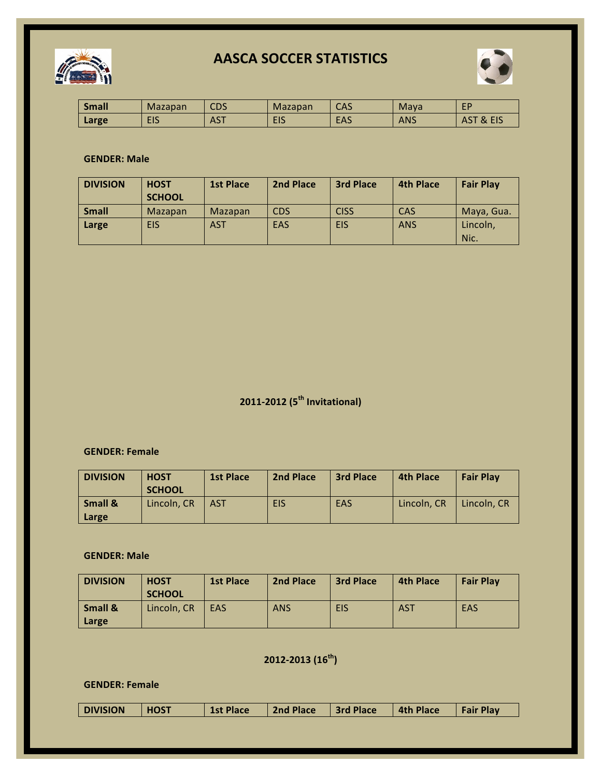



| <b>Small</b> | Mazapan    | CDS        | Mazapan | CAS | Mava       | ED<br>ы      |
|--------------|------------|------------|---------|-----|------------|--------------|
| Large        | <b>EIS</b> | <b>AST</b> | EIS     | EAS | <b>ANS</b> | & EIS<br>AS. |

### **GENDER: Male**

| <b>DIVISION</b> | <b>HOST</b>   | <b>1st Place</b> | 2nd Place  | <b>3rd Place</b> | <b>4th Place</b> | <b>Fair Play</b> |
|-----------------|---------------|------------------|------------|------------------|------------------|------------------|
|                 | <b>SCHOOL</b> |                  |            |                  |                  |                  |
| <b>Small</b>    | Mazapan       | Mazapan          | <b>CDS</b> | <b>CISS</b>      | CAS              | Maya, Gua.       |
| Large           | <b>EIS</b>    | <b>AST</b>       | EAS        | <b>EIS</b>       | <b>ANS</b>       | Lincoln,         |
|                 |               |                  |            |                  |                  | Nic.             |

**2011-2012 (5th Invitational)**

#### **GENDER: Female**

| <b>DIVISION</b>  | <b>HOST</b><br><b>SCHOOL</b> | <b>1st Place</b> | 2nd Place  | <b>3rd Place</b> | <b>4th Place</b> | <b>Fair Play</b> |
|------------------|------------------------------|------------------|------------|------------------|------------------|------------------|
| Small &<br>Large | Lincoln, CR                  | <b>AST</b>       | <b>EIS</b> | EAS              | Lincoln. CR      | Lincoln, CR      |

#### **GENDER: Male**

| <b>DIVISION</b>  | <b>HOST</b><br><b>SCHOOL</b> | <b>1st Place</b> | 2nd Place  | <b>3rd Place</b> | <b>4th Place</b> | <b>Fair Play</b> |
|------------------|------------------------------|------------------|------------|------------------|------------------|------------------|
| Small &<br>Large | Lincoln, CR                  | EAS              | <b>ANS</b> | <b>EIS</b>       | <b>AST</b>       | EAS              |

### **2012-2013 (16th)**

|  | <b>DIVISION</b> | <b>HOST</b> | <b>1st Place</b> | 2nd Place | <b>1 3rd Place</b> | 4th Place | <b>Sair Play</b> |
|--|-----------------|-------------|------------------|-----------|--------------------|-----------|------------------|
|--|-----------------|-------------|------------------|-----------|--------------------|-----------|------------------|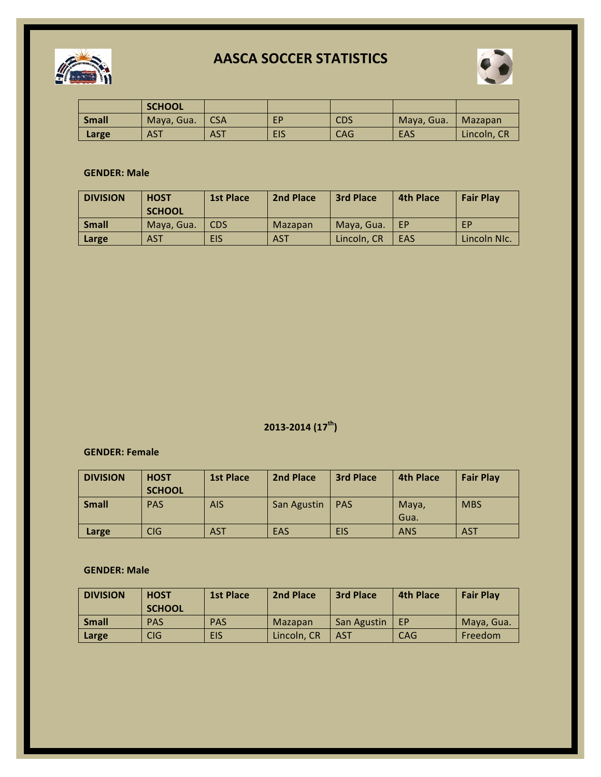



|              | <b>SCHOOL</b> |            |            |            |            |             |
|--------------|---------------|------------|------------|------------|------------|-------------|
| <b>Small</b> | Maya, Gua.    | <b>CSA</b> | EP         | <b>CDS</b> | Maya, Gua. | Mazapan     |
| Large        | <b>AST</b>    | <b>AST</b> | <b>EIS</b> | CAG        | EAS        | Lincoln, CR |

### **GENDER: Male**

| <b>DIVISION</b> | <b>HOST</b><br><b>SCHOOL</b> | <b>1st Place</b> | 2nd Place  | <b>3rd Place</b> | <b>4th Place</b> | <b>Fair Play</b> |
|-----------------|------------------------------|------------------|------------|------------------|------------------|------------------|
| <b>Small</b>    | Maya, Gua.                   | <b>CDS</b>       | Mazapan    | Maya, Gua.       | EP.              | EP               |
| Large           | <b>AST</b>                   | <b>EIS</b>       | <b>AST</b> | Lincoln, CR      | EAS              | Lincoln NIc.     |

### **2013-2014 (17th)**

### **GENDER: Female**

| <b>DIVISION</b> | <b>HOST</b><br><b>SCHOOL</b> | <b>1st Place</b> | 2nd Place   | <b>3rd Place</b> | 4th Place     | <b>Fair Play</b> |
|-----------------|------------------------------|------------------|-------------|------------------|---------------|------------------|
| <b>Small</b>    | <b>PAS</b>                   | <b>AIS</b>       | San Agustin | <b>PAS</b>       | Maya,<br>Gua. | <b>MBS</b>       |
| Large           | <b>CIG</b>                   | <b>AST</b>       | EAS         | <b>EIS</b>       | <b>ANS</b>    | <b>AST</b>       |

| <b>DIVISION</b> | <b>HOST</b><br><b>SCHOOL</b> | <b>1st Place</b> | 2nd Place   | <b>3rd Place</b>   | <b>4th Place</b> | <b>Fair Play</b> |
|-----------------|------------------------------|------------------|-------------|--------------------|------------------|------------------|
| <b>Small</b>    | <b>PAS</b>                   | <b>PAS</b>       | Mazapan     | <b>San Agustin</b> | <b>FP</b>        | Maya, Gua.       |
| Large           | CIG                          | EIS              | Lincoln. CR | <b>AST</b>         | CAG              | Freedom          |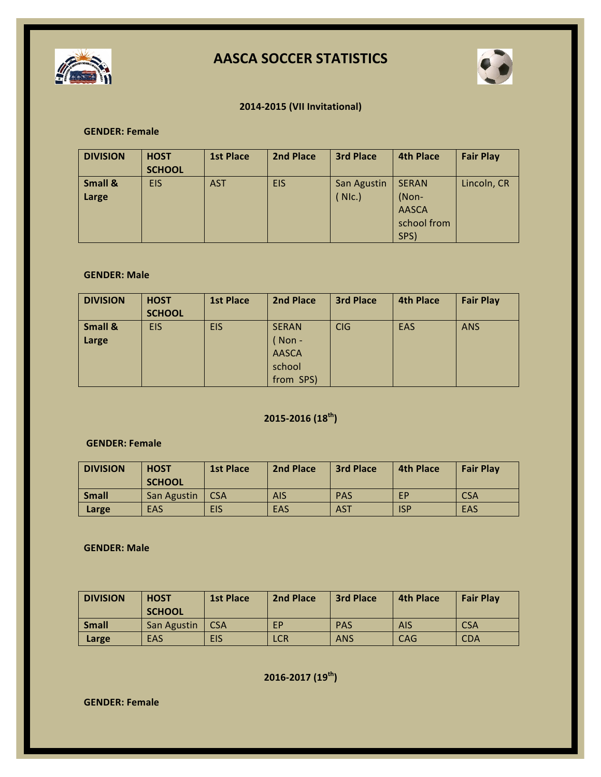



### **2014-2015 (VII Invitational)**

### **GENDER: Female**

| <b>DIVISION</b>  | <b>HOST</b><br><b>SCHOOL</b> | <b>1st Place</b> | 2nd Place  | <b>3rd Place</b>    | <b>4th Place</b>                                             | <b>Fair Play</b> |
|------------------|------------------------------|------------------|------------|---------------------|--------------------------------------------------------------|------------------|
| Small &<br>Large | <b>EIS</b>                   | <b>AST</b>       | <b>EIS</b> | San Agustin<br>(NC) | <b>SERAN</b><br>(Non-<br><b>AASCA</b><br>school from<br>SPS) | Lincoln, CR      |

#### **GENDER: Male**

| <b>DIVISION</b>  | <b>HOST</b><br><b>SCHOOL</b> | <b>1st Place</b> | 2nd Place                                                    | <b>3rd Place</b> | <b>4th Place</b> | <b>Fair Play</b> |
|------------------|------------------------------|------------------|--------------------------------------------------------------|------------------|------------------|------------------|
| Small &<br>Large | <b>EIS</b>                   | <b>EIS</b>       | <b>SERAN</b><br>Non -<br><b>AASCA</b><br>school<br>from SPS) | <b>CIG</b>       | EAS              | <b>ANS</b>       |

### **2015-2016 (18th)**

### **GENDER: Female**

| <b>DIVISION</b> | <b>HOST</b><br><b>SCHOOL</b> | <b>1st Place</b> | 2nd Place  | <b>3rd Place</b> | <b>4th Place</b> | <b>Fair Play</b> |
|-----------------|------------------------------|------------------|------------|------------------|------------------|------------------|
| <b>Small</b>    | San Agustin                  | <b>CSA</b>       | AIS        | <b>PAS</b>       | EP               | <b>CSA</b>       |
| Large           | EAS                          | EIS              | <b>EAS</b> | <b>AST</b>       | <b>ISP</b>       | EAS              |

### **GENDER: Male**

| <b>DIVISION</b> | <b>HOST</b><br><b>SCHOOL</b> | <b>1st Place</b> | 2nd Place  | <b>3rd Place</b> | <b>4th Place</b> | <b>Fair Play</b> |
|-----------------|------------------------------|------------------|------------|------------------|------------------|------------------|
| <b>Small</b>    | San Agustin                  | <b>CSA</b>       | EP         | <b>PAS</b>       | <b>AIS</b>       | <b>CSA</b>       |
| Large           | <b>EAS</b>                   | EIS              | <b>LCR</b> | <b>ANS</b>       | <b>CAG</b>       | <b>CDA</b>       |

**2016-2017 (19th)**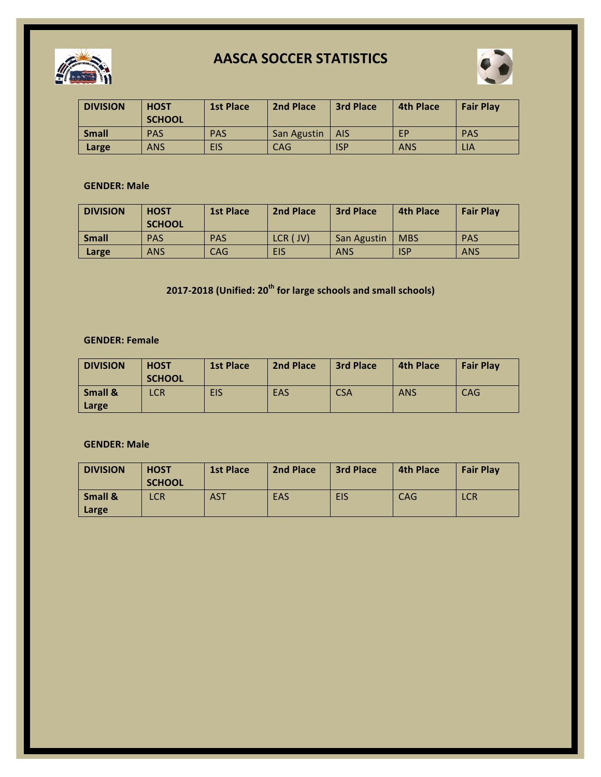



| <b>DIVISION</b> | <b>HOST</b><br><b>SCHOOL</b> | 1st Place  | 2nd Place          | <b>3rd Place</b> | <b>4th Place</b> | <b>Fair Play</b> |
|-----------------|------------------------------|------------|--------------------|------------------|------------------|------------------|
| <b>Small</b>    | <b>PAS</b>                   | <b>PAS</b> | <b>San Agustin</b> | <b>AIS</b>       | EP               | <b>PAS</b>       |
| Large           | <b>ANS</b>                   | <b>EIS</b> | CAG                | <b>ISP</b>       | <b>ANS</b>       | LIA              |

### **GENDER: Male**

| <b>DIVISION</b> | <b>HOST</b><br><b>SCHOOL</b> | <b>1st Place</b> | 2nd Place   | <b>3rd Place</b>   | <b>4th Place</b> | <b>Fair Play</b> |
|-----------------|------------------------------|------------------|-------------|--------------------|------------------|------------------|
| <b>Small</b>    | <b>PAS</b>                   | <b>PAS</b>       | $LCR$ ( JV) | <b>San Agustin</b> | <b>MBS</b>       | <b>PAS</b>       |
| Large           | <b>ANS</b>                   | <b>CAG</b>       | <b>EIS</b>  | <b>ANS</b>         | ISP              | <b>ANS</b>       |

**2017-2018** (Unified: 20<sup>th</sup> for large schools and small schools)

### **GENDER: Female**

| <b>DIVISION</b>             | <b>HOST</b><br><b>SCHOOL</b> | <b>1st Place</b> | 2nd Place | <b>3rd Place</b> | <b>4th Place</b> | <b>Fair Play</b> |
|-----------------------------|------------------------------|------------------|-----------|------------------|------------------|------------------|
| <b>Small &amp;</b><br>Large | LCR                          | <b>EIS</b>       | EAS       | <b>CSA</b>       | <b>ANS</b>       | <b>CAG</b>       |

| <b>DIVISION</b>             | <b>HOST</b><br><b>SCHOOL</b> | <b>1st Place</b> | 2nd Place | <b>3rd Place</b> | <b>4th Place</b> | <b>Fair Play</b> |
|-----------------------------|------------------------------|------------------|-----------|------------------|------------------|------------------|
| <b>Small &amp;</b><br>Large | LCR                          | <b>AST</b>       | EAS       | EIS              | CAG              | LCR              |